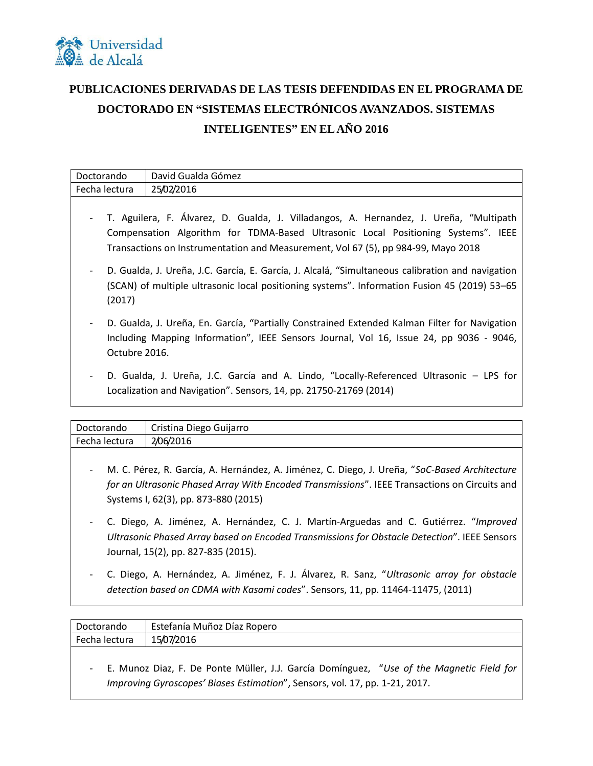

## **PUBLICACIONES DERIVADAS DE LAS TESIS DEFENDIDAS EN EL PROGRAMA DE DOCTORADO EN "SISTEMAS ELECTRÓNICOS AVANZADOS. SISTEMAS INTELIGENTES" EN EL AÑO 2016**

| Doctorando    | David Gualda Gómez |
|---------------|--------------------|
| Fecha lectura | 25/02/2016         |
|               |                    |

- T. Aguilera, F. Álvarez, D. Gualda, J. Villadangos, A. Hernandez, J. Ureña, "Multipath Compensation Algorithm for TDMA-Based Ultrasonic Local Positioning Systems". IEEE Transactions on Instrumentation and Measurement, Vol 67 (5), pp 984-99, Mayo 2018
- D. Gualda, J. Ureña, J.C. García, E. García, J. Alcalá, "Simultaneous calibration and navigation (SCAN) of multiple ultrasonic local positioning systems". Information Fusion 45 (2019) 53–65 (2017)
- D. Gualda, J. Ureña, En. García, "Partially Constrained Extended Kalman Filter for Navigation Including Mapping Information", IEEE Sensors Journal, Vol 16, Issue 24, pp 9036 - 9046, Octubre 2016.
- D. Gualda, J. Ureña, J.C. García and A. Lindo, "Locally-Referenced Ultrasonic LPS for Localization and Navigation". Sensors, 14, pp. 21750-21769 (2014)

| Doctorando    | Cristina Diego Guijarro |
|---------------|-------------------------|
| Fecha lectura | 2/06/2016               |
|               |                         |

- M. C. Pérez, R. García, A. Hernández, A. Jiménez, C. Diego, J. Ureña, "*SoC-Based Architecture for an Ultrasonic Phased Array With Encoded Transmissions*". IEEE Transactions on Circuits and Systems I, 62(3), pp. 873-880 (2015)
- C. Diego, A. Jiménez, A. Hernández, C. J. Martín-Arguedas and C. Gutiérrez. "*Improved Ultrasonic Phased Array based on Encoded Transmissions for Obstacle Detection*". IEEE Sensors Journal, 15(2), pp. 827-835 (2015).
- C. Diego, A. Hernández, A. Jiménez, F. J. Álvarez, R. Sanz, "*Ultrasonic array for obstacle detection based on CDMA with Kasami codes*". Sensors, 11, pp. 11464-11475, (2011)

| Doctorando    | Estefanía Muñoz Díaz Ropero |
|---------------|-----------------------------|
| Fecha lectura | 15/07/2016                  |
|               |                             |

- E. Munoz Diaz, F. De Ponte Müller, J.J. García Domínguez, "*Use of the Magnetic Field for Improving Gyroscopes' Biases Estimation*", Sensors, vol. 17, pp. 1-21, 2017.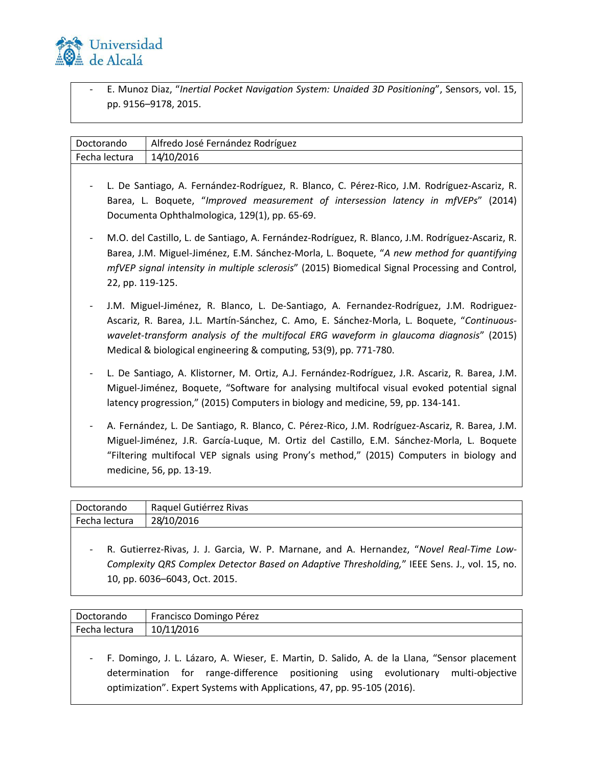

- E. Munoz Diaz, "*Inertial Pocket Navigation System: Unaided 3D Positioning*", Sensors, vol. 15, pp. 9156–9178, 2015.

| Doctorando                                                                                                                                                                                                                          | Alfredo José Fernández Rodríguez                                                                                                                                                                                                                                                                                                                      |  |
|-------------------------------------------------------------------------------------------------------------------------------------------------------------------------------------------------------------------------------------|-------------------------------------------------------------------------------------------------------------------------------------------------------------------------------------------------------------------------------------------------------------------------------------------------------------------------------------------------------|--|
| Fecha lectura                                                                                                                                                                                                                       | 14/10/2016                                                                                                                                                                                                                                                                                                                                            |  |
| L. De Santiago, A. Fernández-Rodríguez, R. Blanco, C. Pérez-Rico, J.M. Rodríguez-Ascariz, R.<br>Barea, L. Boquete, "Improved measurement of intersession latency in mfVEPs" (2014)<br>Documenta Ophthalmologica, 129(1), pp. 65-69. |                                                                                                                                                                                                                                                                                                                                                       |  |
| $\overline{\phantom{a}}$                                                                                                                                                                                                            | M.O. del Castillo, L. de Santiago, A. Fernández-Rodríguez, R. Blanco, J.M. Rodríguez-Ascariz, R.<br>Barea, J.M. Miguel-Jiménez, E.M. Sánchez-Morla, L. Boquete, "A new method for quantifying<br>mfVEP signal intensity in multiple sclerosis" (2015) Biomedical Signal Processing and Control,<br>22, pp. 119-125.                                   |  |
|                                                                                                                                                                                                                                     | J.M. Miguel-Jiménez, R. Blanco, L. De-Santiago, A. Fernandez-Rodríguez, J.M. Rodriguez-<br>Ascariz, R. Barea, J.L. Martín-Sánchez, C. Amo, E. Sánchez-Morla, L. Boquete, "Continuous-<br>wavelet-transform analysis of the multifocal ERG waveform in glaucoma diagnosis" (2015)<br>Medical & biological engineering & computing, 53(9), pp. 771-780. |  |
|                                                                                                                                                                                                                                     | L. De Santiago, A. Klistorner, M. Ortiz, A.J. Fernández-Rodríguez, J.R. Ascariz, R. Barea, J.M.<br>Miguel-Jiménez, Boquete, "Software for analysing multifocal visual evoked potential signal<br>latency progression," (2015) Computers in biology and medicine, 59, pp. 134-141.                                                                     |  |
|                                                                                                                                                                                                                                     | A. Fernández, L. De Santiago, R. Blanco, C. Pérez-Rico, J.M. Rodríguez-Ascariz, R. Barea, J.M.<br>Miguel-Jiménez, J.R. García-Luque, M. Ortiz del Castillo, E.M. Sánchez-Morla, L. Boquete<br>"Filtering multifocal VEP signals using Prony's method," (2015) Computers in biology and<br>medicine, 56, pp. 13-19.                                    |  |

| Doctorando    | Raquel Gutiérrez Rivas |
|---------------|------------------------|
| Fecha lectura | 28/10/2016             |
|               |                        |

- R. Gutierrez-Rivas, J. J. Garcia, W. P. Marnane, and A. Hernandez, "*Novel Real-Time Low-Complexity QRS Complex Detector Based on Adaptive Thresholding,*" IEEE Sens. J., vol. 15, no. 10, pp. 6036–6043, Oct. 2015.

| Doctorando    | Francisco Domingo Pérez |
|---------------|-------------------------|
| Fecha lectura | 10/11/2016              |
|               |                         |

- F. Domingo, J. L. Lázaro, A. Wieser, E. Martin, D. Salido, A. de la Llana, "Sensor placement determination for range-difference positioning using evolutionary multi-objective optimization". Expert Systems with Applications, 47, pp. 95-105 (2016).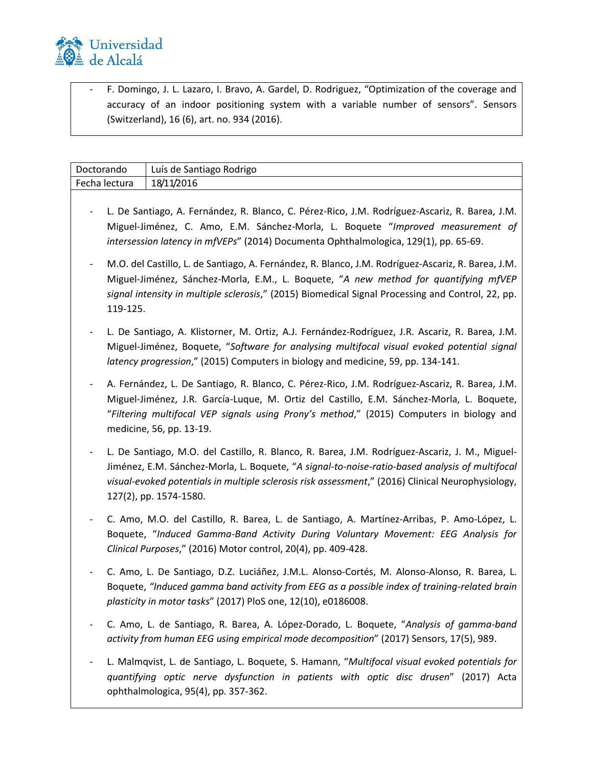

- F. Domingo, J. L. Lazaro, I. Bravo, A. Gardel, D. Rodriguez, "Optimization of the coverage and accuracy of an indoor positioning system with a variable number of sensors". Sensors (Switzerland), 16 (6), art. no. 934 (2016).

| Doctorando    | Luís de Santiago Rodrigo                                                                                                                                                                                                                                                                                                        |
|---------------|---------------------------------------------------------------------------------------------------------------------------------------------------------------------------------------------------------------------------------------------------------------------------------------------------------------------------------|
| Fecha lectura | 18/11/2016                                                                                                                                                                                                                                                                                                                      |
|               | L. De Santiago, A. Fernández, R. Blanco, C. Pérez-Rico, J.M. Rodríguez-Ascariz, R. Barea, J.M.<br>Miguel-Jiménez, C. Amo, E.M. Sánchez-Morla, L. Boquete "Improved measurement of<br>intersession latency in mfVEPs" (2014) Documenta Ophthalmologica, 129(1), pp. 65-69.                                                       |
| 119-125.      | M.O. del Castillo, L. de Santiago, A. Fernández, R. Blanco, J.M. Rodríguez-Ascariz, R. Barea, J.M.<br>Miguel-Jiménez, Sánchez-Morla, E.M., L. Boquete, "A new method for quantifying mfVEP<br>signal intensity in multiple sclerosis," (2015) Biomedical Signal Processing and Control, 22, pp.                                 |
|               | L. De Santiago, A. Klistorner, M. Ortiz, A.J. Fernández-Rodríguez, J.R. Ascariz, R. Barea, J.M.<br>Miguel-Jiménez, Boquete, "Software for analysing multifocal visual evoked potential signal<br>latency progression," (2015) Computers in biology and medicine, 59, pp. 134-141.                                               |
|               | A. Fernández, L. De Santiago, R. Blanco, C. Pérez-Rico, J.M. Rodríguez-Ascariz, R. Barea, J.M.<br>Miguel-Jiménez, J.R. García-Luque, M. Ortiz del Castillo, E.M. Sánchez-Morla, L. Boquete,<br>"Filtering multifocal VEP signals using Prony's method," (2015) Computers in biology and<br>medicine, 56, pp. 13-19.             |
|               | L. De Santiago, M.O. del Castillo, R. Blanco, R. Barea, J.M. Rodríguez-Ascariz, J. M., Miguel-<br>Jiménez, E.M. Sánchez-Morla, L. Boquete, "A signal-to-noise-ratio-based analysis of multifocal<br>visual-evoked potentials in multiple sclerosis risk assessment," (2016) Clinical Neurophysiology,<br>127(2), pp. 1574-1580. |
|               | C. Amo, M.O. del Castillo, R. Barea, L. de Santiago, A. Martínez-Arribas, P. Amo-López, L.<br>Boquete, "Induced Gamma-Band Activity During Voluntary Movement: EEG Analysis for<br>Clinical Purposes," (2016) Motor control, 20(4), pp. 409-428.                                                                                |
|               | C. Amo, L. De Santiago, D.Z. Luciáñez, J.M.L. Alonso-Cortés, M. Alonso-Alonso, R. Barea, L.<br>Boquete, "Induced gamma band activity from EEG as a possible index of training-related brain<br>plasticity in motor tasks" (2017) PloS one, 12(10), e0186008.                                                                    |
|               | C. Amo, L. de Santiago, R. Barea, A. López-Dorado, L. Boquete, "Analysis of gamma-band<br>activity from human EEG using empirical mode decomposition" (2017) Sensors, 17(5), 989.                                                                                                                                               |
|               | L. Malmqvist, L. de Santiago, L. Boquete, S. Hamann, "Multifocal visual evoked potentials for<br>quantifying optic nerve dysfunction in patients with optic disc drusen" (2017) Acta<br>ophthalmologica, 95(4), pp. 357-362.                                                                                                    |